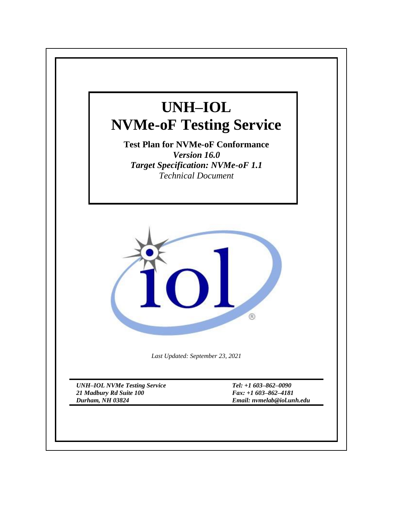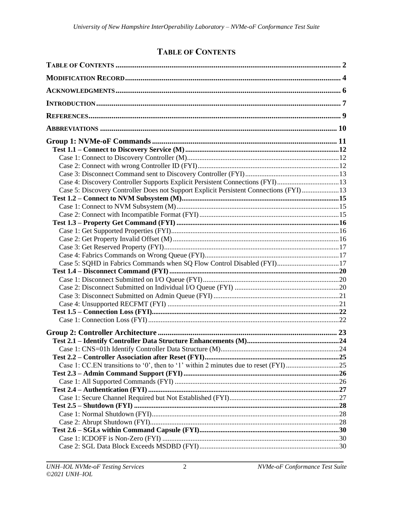# **TABLE OF CONTENTS**

<span id="page-1-0"></span>

| Case 4: Discovery Controller Supports Explicit Persistent Connections (FYI)13         |  |
|---------------------------------------------------------------------------------------|--|
| Case 5: Discovery Controller Does not Support Explicit Persistent Connections (FYI)13 |  |
|                                                                                       |  |
|                                                                                       |  |
|                                                                                       |  |
|                                                                                       |  |
|                                                                                       |  |
|                                                                                       |  |
|                                                                                       |  |
|                                                                                       |  |
| Case 5: SQHD in Fabrics Commands when SQ Flow Control Disabled (FYI)17                |  |
|                                                                                       |  |
|                                                                                       |  |
|                                                                                       |  |
|                                                                                       |  |
|                                                                                       |  |
|                                                                                       |  |
|                                                                                       |  |
|                                                                                       |  |
|                                                                                       |  |
|                                                                                       |  |
|                                                                                       |  |
|                                                                                       |  |
|                                                                                       |  |
|                                                                                       |  |
|                                                                                       |  |
|                                                                                       |  |
|                                                                                       |  |
|                                                                                       |  |
|                                                                                       |  |
|                                                                                       |  |
|                                                                                       |  |
|                                                                                       |  |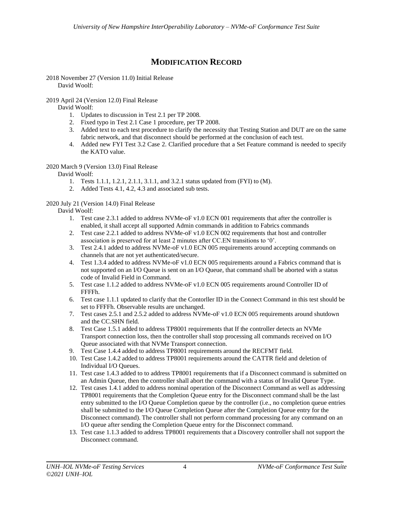# **MODIFICATION RECORD**

<span id="page-3-0"></span>2018 November 27 (Version 11.0) Initial Release David Woolf:

## 2019 April 24 (Version 12.0) Final Release

David Woolf:

- 1. Updates to discussion in Test 2.1 per TP 2008.
- 2. Fixed typo in Test 2.1 Case 1 procedure, per TP 2008.
- 3. Added text to each test procedure to clarify the necessity that Testing Station and DUT are on the same fabric network, and that disconnect should be performed at the conclusion of each test.
- 4. Added new FYI Test 3.2 Case 2. Clarified procedure that a Set Feature command is needed to specify the KATO value.

## 2020 March 9 (Version 13.0) Final Release

David Woolf:

- 1. Tests 1.1.1, 1.2.1, 2.1.1, 3.1.1, and 3.2.1 status updated from (FYI) to (M).
- 2. Added Tests 4.1, 4.2, 4.3 and associated sub tests.

# 2020 July 21 (Version 14.0) Final Release

David Woolf:

- 1. Test case 2.3.1 added to address NVMe-oF v1.0 ECN 001 requirements that after the controller is enabled, it shall accept all supported Admin commands in addition to Fabrics commands
- 2. Test case 2.2.1 added to address NVMe-oF v1.0 ECN 002 requirements that host and controller association is preserved for at least 2 minutes after CC.EN transitions to '0'.
- 3. Test 2.4.1 added to address NVMe-oF v1.0 ECN 005 requirements around accepting commands on channels that are not yet authenticated/secure.
- 4. Test 1.3.4 added to address NVMe-oF v1.0 ECN 005 requirements around a Fabrics command that is not supported on an I/O Queue is sent on an I/O Queue, that command shall be aborted with a status code of Invalid Field in Command.
- 5. Test case 1.1.2 added to address NVMe-oF v1.0 ECN 005 requirements around Controller ID of FFFFh.
- 6. Test case 1.1.1 updated to clarify that the Contorller ID in the Connect Command in this test should be set to FFFFh. Observable results are unchanged.
- 7. Test cases 2.5.1 and 2.5.2 added to address NVMe-oF v1.0 ECN 005 requirements around shutdown and the CC.SHN field.
- 8. Test Case 1.5.1 added to address TP8001 requirements that If the controller detects an NVMe Transport connection loss, then the controller shall stop processing all commands received on I/O Queue associated with that NVMe Transport connection.
- 9. Test Case 1.4.4 added to address TP8001 requirements around the RECFMT field.
- 10. Test Case 1.4.2 added to address TP8001 requirements around the CATTR field and deletion of Individual I/O Queues.
- 11. Test case 1.4.3 added to to address TP8001 requirements that if a Disconnect command is submitted on an Admin Queue, then the controller shall abort the command with a status of Invalid Queue Type.
- 12. Test cases 1.4.1 added to address nominal operation of the Disconnect Command as well as addressing TP8001 requirements that the Completion Queue entry for the Disconnect command shall be the last entry submitted to the I/O Queue Completion queue by the controller (i.e., no completion queue entries shall be submitted to the I/O Queue Completion Queue after the Completion Queue entry for the Disconnect command). The controller shall not perform command processing for any command on an I/O queue after sending the Completion Queue entry for the Disconnect command.
- 13. Test case 1.1.3 added to address TP8001 requirements that a Discovery controller shall not support the Disconnect command.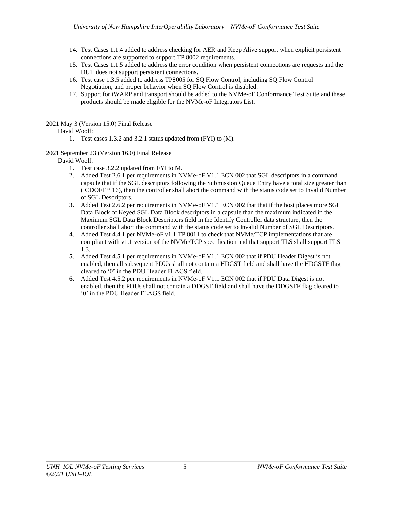- 14. Test Cases 1.1.4 added to address checking for AER and Keep Alive support when explicit persistent connections are supported to support TP 8002 requirements.
- 15. Test Cases 1.1.5 added to address the error condition when persistent connections are requests and the DUT does not support persistent connections.
- 16. Test case 1.3.5 added to address TP8005 for SQ Flow Control, including SQ Flow Control Negotiation, and proper behavior when SQ Flow Control is disabled.
- 17. Support for iWARP and transport should be added to the NVMe-oF Conformance Test Suite and these products should be made eligible for the NVMe-oF Integrators List.

2021 May 3 (Version 15.0) Final Release

# David Woolf:

- 1. Test cases 1.3.2 and 3.2.1 status updated from (FYI) to (M).
- 2021 September 23 (Version 16.0) Final Release

David Woolf:

- 1. Test case 3.2.2 updated from FYI to M.
- 2. Added Test 2.6.1 per requirements in NVMe-oF V1.1 ECN 002 that SGL descriptors in a command capsule that if the SGL descriptors following the Submission Queue Entry have a total size greater than (ICDOFF \* 16), then the controller shall abort the command with the status code set to Invalid Number of SGL Descriptors.
- 3. Added Test 2.6.2 per requirements in NVMe-oF V1.1 ECN 002 that that if the host places more SGL Data Block of Keyed SGL Data Block descriptors in a capsule than the maximum indicated in the Maximum SGL Data Block Descriptors field in the Identify Controller data structure, then the controller shall abort the command with the status code set to Invalid Number of SGL Descriptors.
- 4. Added Test 4.4.1 per NVMe-oF v1.1 TP 8011 to check that NVMe/TCP implementations that are compliant with v1.1 version of the NVMe/TCP specification and that support TLS shall support TLS 1.3.
- 5. Added Test 4.5.1 per requirements in NVMe-oF V1.1 ECN 002 that if PDU Header Digest is not enabled, then all subsequent PDUs shall not contain a HDGST field and shall have the HDGSTF flag cleared to '0' in the PDU Header FLAGS field.
- 6. Added Test 4.5.2 per requirements in NVMe-oF V1.1 ECN 002 that if PDU Data Digest is not enabled, then the PDUs shall not contain a DDGST field and shall have the DDGSTF flag cleared to '0' in the PDU Header FLAGS field.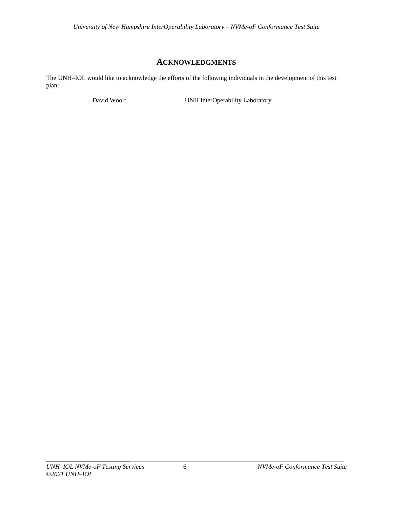# **ACKNOWLEDGMENTS**

<span id="page-5-0"></span>The UNH–IOL would like to acknowledge the efforts of the following individuals in the development of this test plan:

David Woolf **UNH InterOperability Laboratory**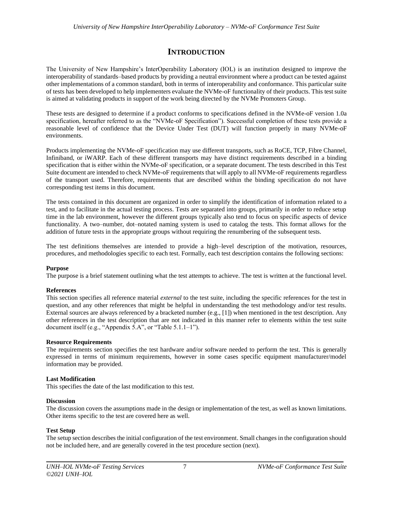# **INTRODUCTION**

<span id="page-6-0"></span>The University of New Hampshire's InterOperability Laboratory (IOL) is an institution designed to improve the interoperability of standards–based products by providing a neutral environment where a product can be tested against other implementations of a common standard, both in terms of interoperability and conformance. This particular suite of tests has been developed to help implementers evaluate the NVMe-oF functionality of their products. This test suite is aimed at validating products in support of the work being directed by the NVMe Promoters Group.

These tests are designed to determine if a product conforms to specifications defined in the NVMe-oF version 1.0a specification, hereafter referred to as the "NVMe-oF Specification"). Successful completion of these tests provide a reasonable level of confidence that the Device Under Test (DUT) will function properly in many NVMe-oF environments.

Products implementing the NVMe-oF specification may use different transports, such as RoCE, TCP, Fibre Channel, Infiniband, or iWARP. Each of these different transports may have distinct requirements described in a binding specification that is either within the NVMe-oF specification, or a separate document. The tests described in this Test Suite document are intended to check NVMe-oF requirements that will apply to all NVMe-oF requirements regardless of the transport used. Therefore, requirements that are described within the binding specification do not have corresponding test items in this document.

The tests contained in this document are organized in order to simplify the identification of information related to a test, and to facilitate in the actual testing process. Tests are separated into groups, primarily in order to reduce setup time in the lab environment, however the different groups typically also tend to focus on specific aspects of device functionality. A two–number, dot–notated naming system is used to catalog the tests. This format allows for the addition of future tests in the appropriate groups without requiring the renumbering of the subsequent tests.

The test definitions themselves are intended to provide a high–level description of the motivation, resources, procedures, and methodologies specific to each test. Formally, each test description contains the following sections:

#### **Purpose**

The purpose is a brief statement outlining what the test attempts to achieve. The test is written at the functional level.

#### **References**

This section specifies all reference material *external* to the test suite, including the specific references for the test in question, and any other references that might be helpful in understanding the test methodology and/or test results. External sources are always referenced by a bracketed number (e.g., [1]) when mentioned in the test description. Any other references in the test description that are not indicated in this manner refer to elements within the test suite document itself (e.g., "Appendix 5.A", or "Table 5.1.1–1").

#### **Resource Requirements**

The requirements section specifies the test hardware and/or software needed to perform the test. This is generally expressed in terms of minimum requirements, however in some cases specific equipment manufacturer/model information may be provided.

#### **Last Modification**

This specifies the date of the last modification to this test.

#### **Discussion**

The discussion covers the assumptions made in the design or implementation of the test, as well as known limitations. Other items specific to the test are covered here as well.

#### **Test Setup**

The setup section describes the initial configuration of the test environment.Small changes in the configuration should not be included here, and are generally covered in the test procedure section (next).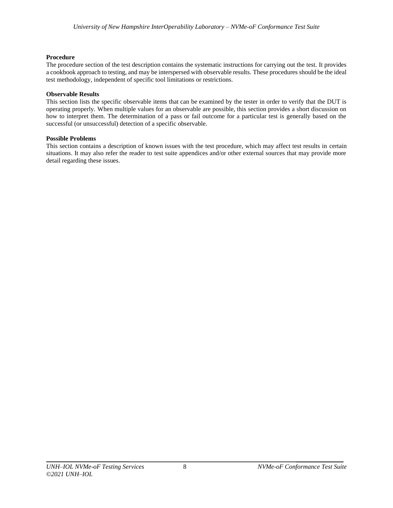# **Procedure**

The procedure section of the test description contains the systematic instructions for carrying out the test. It provides a cookbook approach to testing, and may be interspersed with observable results. These procedures should be the ideal test methodology, independent of specific tool limitations or restrictions.

# **Observable Results**

This section lists the specific observable items that can be examined by the tester in order to verify that the DUT is operating properly. When multiple values for an observable are possible, this section provides a short discussion on how to interpret them. The determination of a pass or fail outcome for a particular test is generally based on the successful (or unsuccessful) detection of a specific observable.

# **Possible Problems**

This section contains a description of known issues with the test procedure, which may affect test results in certain situations. It may also refer the reader to test suite appendices and/or other external sources that may provide more detail regarding these issues.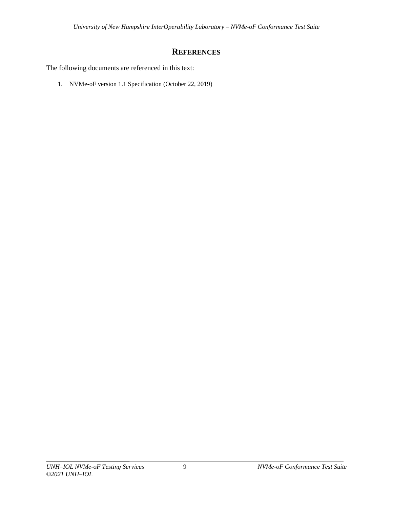# **REFERENCES**

<span id="page-8-0"></span>The following documents are referenced in this text:

1. NVMe-oF version 1.1 Specification (October 22, 2019)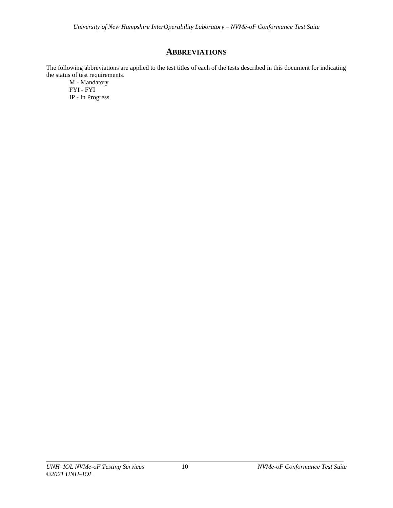# **ABBREVIATIONS**

<span id="page-9-0"></span>The following abbreviations are applied to the test titles of each of the tests described in this document for indicating the status of test requirements.

M - Mandatory FYI - FYI IP - In Progress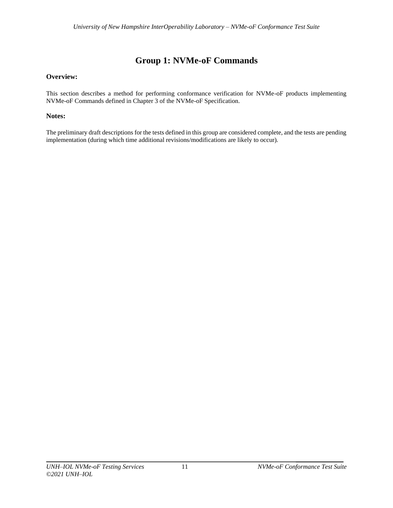# **Group 1: NVMe-oF Commands**

# <span id="page-10-0"></span>**Overview:**

This section describes a method for performing conformance verification for NVMe-oF products implementing NVMe-oF Commands defined in Chapter 3 of the NVMe-oF Specification.

# **Notes:**

The preliminary draft descriptions for the tests defined in this group are considered complete, and the tests are pending implementation (during which time additional revisions/modifications are likely to occur).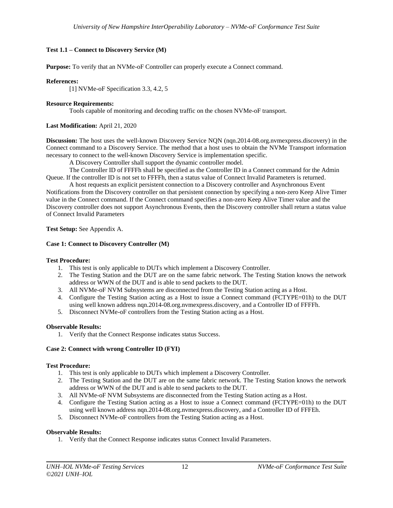# <span id="page-11-0"></span>**Test 1.1 – Connect to Discovery Service (M)**

**Purpose:** To verify that an NVMe-oF Controller can properly execute a Connect command.

#### **References:**

[1] NVMe-oF Specification 3.3, 4.2, 5

#### **Resource Requirements:**

Tools capable of monitoring and decoding traffic on the chosen NVMe-oF transport.

## **Last Modification:** April 21, 2020

**Discussion:** The host uses the well-known Discovery Service NQN (nqn.2014-08.org.nvmexpress.discovery) in the Connect command to a Discovery Service. The method that a host uses to obtain the NVMe Transport information necessary to connect to the well-known Discovery Service is implementation specific.

A Discovery Controller shall support the dynamic controller model.

The Controller ID of FFFFh shall be specified as the Controller ID in a Connect command for the Admin Queue. If the controller ID is not set to FFFFh, then a status value of Connect Invalid Parameters is returned.

A host requests an explicit persistent connection to a Discovery controller and Asynchronous Event Notifications from the Discovery controller on that persistent connection by specifying a non-zero Keep Alive Timer value in the Connect command. If the Connect command specifies a non-zero Keep Alive Timer value and the Discovery controller does not support Asynchronous Events, then the Discovery controller shall return a status value of Connect Invalid Parameters

**Test Setup:** See Appendix A.

## <span id="page-11-1"></span>**Case 1: Connect to Discovery Controller (M)**

#### **Test Procedure:**

- 1. This test is only applicable to DUTs which implement a Discovery Controller.
- 2. The Testing Station and the DUT are on the same fabric network. The Testing Station knows the network address or WWN of the DUT and is able to send packets to the DUT.
- 3. All NVMe-oF NVM Subsystems are disconnected from the Testing Station acting as a Host.
- 4. Configure the Testing Station acting as a Host to issue a Connect command (FCTYPE=01h) to the DUT using well known address nqn.2014-08.org.nvmexpress.discovery, and a Controller ID of FFFFh.
- 5. Disconnect NVMe-oF controllers from the Testing Station acting as a Host.

#### **Observable Results:**

1. Verify that the Connect Response indicates status Success.

#### <span id="page-11-2"></span>**Case 2: Connect with wrong Controller ID (FYI)**

#### **Test Procedure:**

- 1. This test is only applicable to DUTs which implement a Discovery Controller.
- 2. The Testing Station and the DUT are on the same fabric network. The Testing Station knows the network address or WWN of the DUT and is able to send packets to the DUT.
- 3. All NVMe-oF NVM Subsystems are disconnected from the Testing Station acting as a Host.
- 4. Configure the Testing Station acting as a Host to issue a Connect command (FCTYPE=01h) to the DUT using well known address nqn.2014-08.org.nvmexpress.discovery, and a Controller ID of FFFEh.
- 5. Disconnect NVMe-oF controllers from the Testing Station acting as a Host.

#### **Observable Results:**

1. Verify that the Connect Response indicates status Connect Invalid Parameters.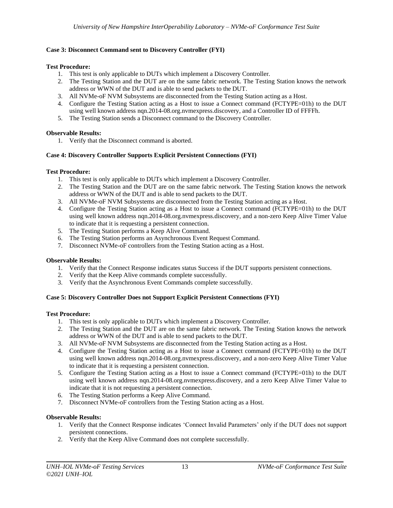# <span id="page-12-0"></span>**Case 3: Disconnect Command sent to Discovery Controller (FYI)**

## **Test Procedure:**

- 1. This test is only applicable to DUTs which implement a Discovery Controller.
- 2. The Testing Station and the DUT are on the same fabric network. The Testing Station knows the network address or WWN of the DUT and is able to send packets to the DUT.
- 3. All NVMe-oF NVM Subsystems are disconnected from the Testing Station acting as a Host.
- 4. Configure the Testing Station acting as a Host to issue a Connect command (FCTYPE=01h) to the DUT using well known address nqn.2014-08.org.nvmexpress.discovery, and a Controller ID of FFFFh.
- 5. The Testing Station sends a Disconnect command to the Discovery Controller.

# **Observable Results:**

1. Verify that the Disconnect command is aborted.

# <span id="page-12-1"></span>**Case 4: Discovery Controller Supports Explicit Persistent Connections (FYI)**

# **Test Procedure:**

- 1. This test is only applicable to DUTs which implement a Discovery Controller.
- 2. The Testing Station and the DUT are on the same fabric network. The Testing Station knows the network address or WWN of the DUT and is able to send packets to the DUT.
- 3. All NVMe-oF NVM Subsystems are disconnected from the Testing Station acting as a Host.
- 4. Configure the Testing Station acting as a Host to issue a Connect command (FCTYPE=01h) to the DUT using well known address nqn.2014-08.org.nvmexpress.discovery, and a non-zero Keep Alive Timer Value to indicate that it is requesting a persistent connection.
- 5. The Testing Station performs a Keep Alive Command.
- 6. The Testing Station performs an Asynchronous Event Request Command.
- 7. Disconnect NVMe-oF controllers from the Testing Station acting as a Host.

# **Observable Results:**

- 1. Verify that the Connect Response indicates status Success if the DUT supports persistent connections.
- 2. Verify that the Keep Alive commands complete successfully.
- 3. Verify that the Asynchronous Event Commands complete successfully.

# <span id="page-12-2"></span>**Case 5: Discovery Controller Does not Support Explicit Persistent Connections (FYI)**

# **Test Procedure:**

- 1. This test is only applicable to DUTs which implement a Discovery Controller.
- 2. The Testing Station and the DUT are on the same fabric network. The Testing Station knows the network address or WWN of the DUT and is able to send packets to the DUT.
- 3. All NVMe-oF NVM Subsystems are disconnected from the Testing Station acting as a Host.
- 4. Configure the Testing Station acting as a Host to issue a Connect command (FCTYPE=01h) to the DUT using well known address nqn.2014-08.org.nvmexpress.discovery, and a non-zero Keep Alive Timer Value to indicate that it is requesting a persistent connection.
- 5. Configure the Testing Station acting as a Host to issue a Connect command (FCTYPE=01h) to the DUT using well known address nqn.2014-08.org.nvmexpress.discovery, and a zero Keep Alive Timer Value to indicate that it is not requesting a persistent connection.
- 6. The Testing Station performs a Keep Alive Command.
- 7. Disconnect NVMe-oF controllers from the Testing Station acting as a Host.

# **Observable Results:**

- 1. Verify that the Connect Response indicates 'Connect Invalid Parameters' only if the DUT does not support persistent connections.
- 2. Verify that the Keep Alive Command does not complete successfully.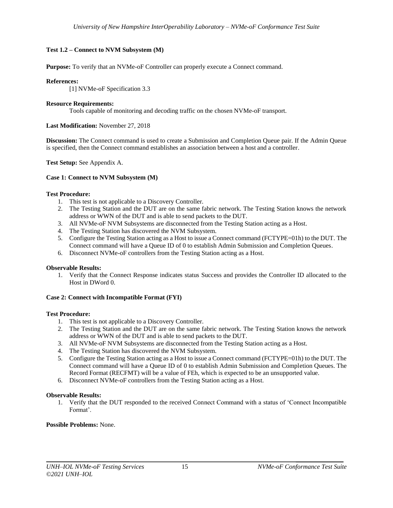## <span id="page-14-0"></span>**Test 1.2 – Connect to NVM Subsystem (M)**

**Purpose:** To verify that an NVMe-oF Controller can properly execute a Connect command.

#### **References:**

[1] NVMe-oF Specification 3.3

#### **Resource Requirements:**

Tools capable of monitoring and decoding traffic on the chosen NVMe-oF transport.

#### **Last Modification:** November 27, 2018

**Discussion:** The Connect command is used to create a Submission and Completion Queue pair. If the Admin Queue is specified, then the Connect command establishes an association between a host and a controller.

**Test Setup:** See Appendix A.

## <span id="page-14-1"></span>**Case 1: Connect to NVM Subsystem (M)**

## **Test Procedure:**

- 1. This test is not applicable to a Discovery Controller.
- 2. The Testing Station and the DUT are on the same fabric network. The Testing Station knows the network address or WWN of the DUT and is able to send packets to the DUT.
- 3. All NVMe-oF NVM Subsystems are disconnected from the Testing Station acting as a Host.
- 4. The Testing Station has discovered the NVM Subsystem.
- 5. Configure the Testing Station acting as a Host to issue a Connect command (FCTYPE=01h) to the DUT. The Connect command will have a Queue ID of 0 to establish Admin Submission and Completion Queues.
- 6. Disconnect NVMe-oF controllers from the Testing Station acting as a Host.

#### **Observable Results:**

1. Verify that the Connect Response indicates status Success and provides the Controller ID allocated to the Host in DWord 0.

# <span id="page-14-2"></span>**Case 2: Connect with Incompatible Format (FYI)**

#### **Test Procedure:**

- 1. This test is not applicable to a Discovery Controller.
- 2. The Testing Station and the DUT are on the same fabric network. The Testing Station knows the network address or WWN of the DUT and is able to send packets to the DUT.
- 3. All NVMe-oF NVM Subsystems are disconnected from the Testing Station acting as a Host.
- 4. The Testing Station has discovered the NVM Subsystem.
- 5. Configure the Testing Station acting as a Host to issue a Connect command (FCTYPE=01h) to the DUT. The Connect command will have a Queue ID of 0 to establish Admin Submission and Completion Queues. The Record Format (RECFMT) will be a value of FEh, which is expected to be an unsupported value.
- 6. Disconnect NVMe-oF controllers from the Testing Station acting as a Host.

#### **Observable Results:**

1. Verify that the DUT responded to the received Connect Command with a status of 'Connect Incompatible Format'.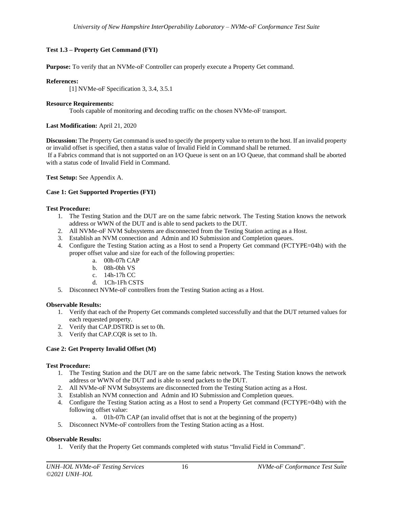# <span id="page-15-0"></span>**Test 1.3 – Property Get Command (FYI)**

**Purpose:** To verify that an NVMe-oF Controller can properly execute a Property Get command.

# **References:**

[1] NVMe-oF Specification 3, 3.4, 3.5.1

# **Resource Requirements:**

Tools capable of monitoring and decoding traffic on the chosen NVMe-oF transport.

# **Last Modification:** April 21, 2020

**Discussion:** The Property Get command is used to specify the property value to return to the host. If an invalid property or invalid offset is specified, then a status value of Invalid Field in Command shall be returned. If a Fabrics command that is not supported on an I/O Queue is sent on an I/O Queue, that command shall be aborted with a status code of Invalid Field in Command.

**Test Setup:** See Appendix A.

# <span id="page-15-1"></span>**Case 1: Get Supported Properties (FYI)**

# **Test Procedure:**

- 1. The Testing Station and the DUT are on the same fabric network. The Testing Station knows the network address or WWN of the DUT and is able to send packets to the DUT.
- 2. All NVMe-oF NVM Subsystems are disconnected from the Testing Station acting as a Host.
- 3. Establish an NVM connection and Admin and IO Submission and Completion queues.
- 4. Configure the Testing Station acting as a Host to send a Property Get command (FCTYPE=04h) with the proper offset value and size for each of the following properties:
	- a. 00h-07h CAP
	- b. 08h-0bh VS
	- c. 14h-17h CC
	- d. 1Ch-1Fh CSTS
- 5. Disconnect NVMe-oF controllers from the Testing Station acting as a Host.

# **Observable Results:**

- 1. Verify that each of the Property Get commands completed successfully and that the DUT returned values for each requested property.
- 2. Verify that CAP.DSTRD is set to 0h.
- 3. Verify that CAP.CQR is set to 1h.

# <span id="page-15-2"></span>**Case 2: Get Property Invalid Offset (M)**

# **Test Procedure:**

- 1. The Testing Station and the DUT are on the same fabric network. The Testing Station knows the network address or WWN of the DUT and is able to send packets to the DUT.
- 2. All NVMe-oF NVM Subsystems are disconnected from the Testing Station acting as a Host.
- 3. Establish an NVM connection and Admin and IO Submission and Completion queues.
- 4. Configure the Testing Station acting as a Host to send a Property Get command (FCTYPE=04h) with the following offset value:
	- a. 01h-07h CAP (an invalid offset that is not at the beginning of the property)
- 5. Disconnect NVMe-oF controllers from the Testing Station acting as a Host.

# **Observable Results:**

1. Verify that the Property Get commands completed with status "Invalid Field in Command".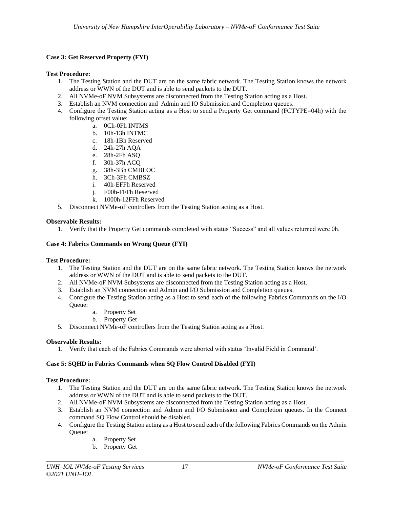# <span id="page-16-0"></span>**Case 3: Get Reserved Property (FYI)**

# **Test Procedure:**

- 1. The Testing Station and the DUT are on the same fabric network. The Testing Station knows the network address or WWN of the DUT and is able to send packets to the DUT.
- 2. All NVMe-oF NVM Subsystems are disconnected from the Testing Station acting as a Host.
- 3. Establish an NVM connection and Admin and IO Submission and Completion queues.
- 4. Configure the Testing Station acting as a Host to send a Property Get command (FCTYPE=04h) with the following offset value:
	- a. 0Ch-0Fh INTMS
	- b. 10h-13h INTMC
	- c. 18h-1Bh Reserved
	- d. 24h-27h AQA
	- e. 28h-2Fh ASQ
	- f. 30h-37h ACQ
	- g. 38h-3Bh CMBLOC
	- h. 3Ch-3Fh CMBSZ
	- i. 40h-EFFh Reserved
	- j. F00h-FFFh Reserved
	- k. 1000h-12FFh Reserved
- 5. Disconnect NVMe-oF controllers from the Testing Station acting as a Host.

## **Observable Results:**

1. Verify that the Property Get commands completed with status "Success" and all values returned were 0h.

# <span id="page-16-1"></span>**Case 4: Fabrics Commands on Wrong Queue (FYI)**

#### **Test Procedure:**

- 1. The Testing Station and the DUT are on the same fabric network. The Testing Station knows the network address or WWN of the DUT and is able to send packets to the DUT.
- 2. All NVMe-oF NVM Subsystems are disconnected from the Testing Station acting as a Host.
- 3. Establish an NVM connection and Admin and I/O Submission and Completion queues.
- 4. Configure the Testing Station acting as a Host to send each of the following Fabrics Commands on the I/O Queue:
	- a. Property Set
	- b. Property Get
- 5. Disconnect NVMe-oF controllers from the Testing Station acting as a Host.

# **Observable Results:**

1. Verify that each of the Fabrics Commands were aborted with status 'Invalid Field in Command'.

# <span id="page-16-2"></span>**Case 5: SQHD in Fabrics Commands when SQ Flow Control Disabled (FYI)**

#### **Test Procedure:**

- 1. The Testing Station and the DUT are on the same fabric network. The Testing Station knows the network address or WWN of the DUT and is able to send packets to the DUT.
- 2. All NVMe-oF NVM Subsystems are disconnected from the Testing Station acting as a Host.
- 3. Establish an NVM connection and Admin and I/O Submission and Completion queues. In the Connect command SQ Flow Control should be disabled.
- 4. Configure the Testing Station acting as a Host to send each of the following Fabrics Commands on the Admin Queue:
	- a. Property Set
	- b. Property Get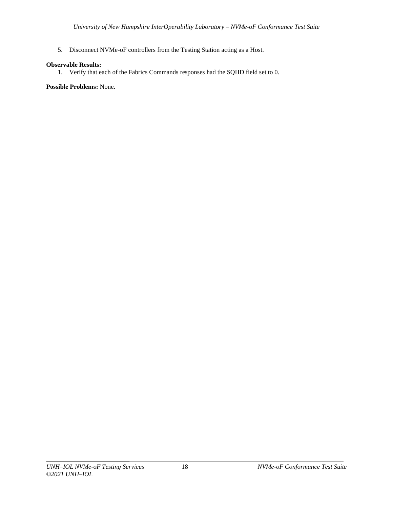5. Disconnect NVMe-oF controllers from the Testing Station acting as a Host.

# **Observable Results:**

1. Verify that each of the Fabrics Commands responses had the SQHD field set to 0.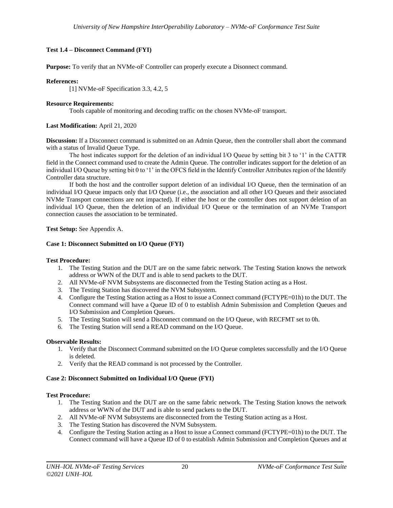# <span id="page-19-0"></span>**Test 1.4 – Disconnect Command (FYI)**

**Purpose:** To verify that an NVMe-oF Controller can properly execute a Disonnect command.

#### **References:**

[1] NVMe-oF Specification 3.3, 4.2, 5

#### **Resource Requirements:**

Tools capable of monitoring and decoding traffic on the chosen NVMe-oF transport.

#### **Last Modification:** April 21, 2020

**Discussion:** If a Disconnect command is submitted on an Admin Queue, then the controller shall abort the command with a status of Invalid Queue Type.

The host indicates support for the deletion of an individual I/O Queue by setting bit 3 to '1' in the CATTR field in the Connect command used to create the Admin Queue. The controller indicates support for the deletion of an individual I/O Queue by setting bit 0 to '1' in the OFCS field in the Identify Controller Attributes region of the Identify Controller data structure.

If both the host and the controller support deletion of an individual I/O Queue, then the termination of an individual I/O Queue impacts only that I/O Queue (i.e., the association and all other I/O Queues and their associated NVMe Transport connections are not impacted). If either the host or the controller does not support deletion of an individual I/O Queue, then the deletion of an individual I/O Queue or the termination of an NVMe Transport connection causes the association to be terminated.

**Test Setup:** See Appendix A.

#### <span id="page-19-1"></span>**Case 1: Disconnect Submitted on I/O Queue (FYI)**

#### **Test Procedure:**

- 1. The Testing Station and the DUT are on the same fabric network. The Testing Station knows the network address or WWN of the DUT and is able to send packets to the DUT.
- 2. All NVMe-oF NVM Subsystems are disconnected from the Testing Station acting as a Host.
- 3. The Testing Station has discovered the NVM Subsystem.
- 4. Configure the Testing Station acting as a Host to issue a Connect command (FCTYPE=01h) to the DUT. The Connect command will have a Queue ID of 0 to establish Admin Submission and Completion Queues and I/O Submission and Completion Queues.
- 5. The Testing Station will send a Disconnect command on the I/O Queue, with RECFMT set to 0h.
- 6. The Testing Station will send a READ command on the I/O Queue.

#### **Observable Results:**

- 1. Verify that the Disconnect Command submitted on the I/O Queue completes successfully and the I/O Queue is deleted.
- 2. Verify that the READ command is not processed by the Controller.

#### <span id="page-19-2"></span>**Case 2: Disconnect Submitted on Individual I/O Queue (FYI)**

#### **Test Procedure:**

- 1. The Testing Station and the DUT are on the same fabric network. The Testing Station knows the network address or WWN of the DUT and is able to send packets to the DUT.
- 2. All NVMe-oF NVM Subsystems are disconnected from the Testing Station acting as a Host.
- 3. The Testing Station has discovered the NVM Subsystem.
- 4. Configure the Testing Station acting as a Host to issue a Connect command (FCTYPE=01h) to the DUT. The Connect command will have a Queue ID of 0 to establish Admin Submission and Completion Queues and at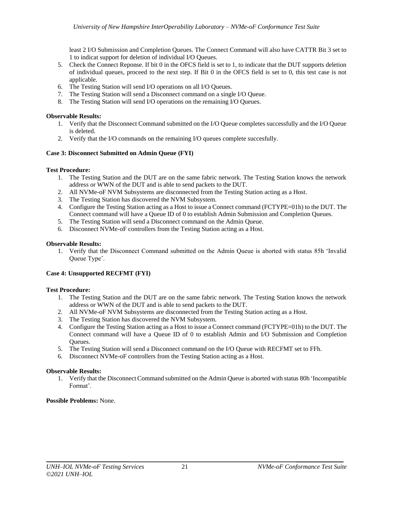least 2 I/O Submission and Completion Queues. The Connect Command will also have CATTR Bit 3 set to 1 to indicat support for deletion of individual I/O Queues.

- 5. Check the Connect Reponse. If bit 0 in the OFCS field is set to 1, to indicate that the DUT supports deletion of individual queues, proceed to the next step. If Bit 0 in the OFCS field is set to 0, this test case is not applicable.
- 6. The Testing Station will send I/O operations on all I/O Queues.
- 7. The Testing Station will send a Disconnect command on a single I/O Queue.
- 8. The Testing Station will send I/O operations on the remaining I/O Queues.

# **Observable Results:**

- 1. Verify that the Disconnect Command submitted on the I/O Queue completes successfully and the I/O Queue is deleted.
- 2. Verify that the I/O commands on the remaining I/O queues complete succesfully.

# <span id="page-20-0"></span>**Case 3: Disconnect Submitted on Admin Queue (FYI)**

# **Test Procedure:**

- 1. The Testing Station and the DUT are on the same fabric network. The Testing Station knows the network address or WWN of the DUT and is able to send packets to the DUT.
- 2. All NVMe-oF NVM Subsystems are disconnected from the Testing Station acting as a Host.
- 3. The Testing Station has discovered the NVM Subsystem.
- 4. Configure the Testing Station acting as a Host to issue a Connect command (FCTYPE=01h) to the DUT. The Connect command will have a Queue ID of 0 to establish Admin Submission and Completion Queues.
- 5. The Testing Station will send a Disconnect command on the Admin Queue.
- 6. Disconnect NVMe-oF controllers from the Testing Station acting as a Host.

# **Observable Results:**

1. Verify that the Disconnect Command submitted on the Admin Queue is aborted with status 85h 'Invalid Queue Type'.

# <span id="page-20-1"></span>**Case 4: Unsupported RECFMT (FYI)**

# **Test Procedure:**

- 1. The Testing Station and the DUT are on the same fabric network. The Testing Station knows the network address or WWN of the DUT and is able to send packets to the DUT.
- 2. All NVMe-oF NVM Subsystems are disconnected from the Testing Station acting as a Host.
- 3. The Testing Station has discovered the NVM Subsystem.
- 4. Configure the Testing Station acting as a Host to issue a Connect command (FCTYPE=01h) to the DUT. The Connect command will have a Queue ID of 0 to establish Admin and I/O Submission and Completion Queues.
- 5. The Testing Station will send a Disconnect command on the I/O Queue with RECFMT set to FFh.
- 6. Disconnect NVMe-oF controllers from the Testing Station acting as a Host.

# **Observable Results:**

1. Verify that the Disconnect Command submitted on the Admin Queue is aborted with status 80h 'Incompatible Format'.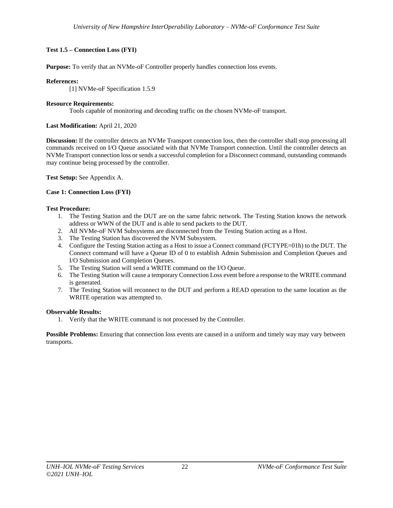# <span id="page-21-0"></span>**Test 1.5 – Connection Loss (FYI)**

**Purpose:** To verify that an NVMe-oF Controller properly handles connection loss events.

#### **References:**

[1] NVMe-oF Specification 1.5.9

#### **Resource Requirements:**

Tools capable of monitoring and decoding traffic on the chosen NVMe-oF transport.

#### **Last Modification:** April 21, 2020

**Discussion:** If the controller detects an NVMe Transport connection loss, then the controller shall stop processing all commands received on I/O Queue associated with that NVMe Transport connection. Until the controller detects an NVMe Transport connection loss or sends a successful completion for a Disconnect command, outstanding commands may continue being processed by the controller.

**Test Setup:** See Appendix A.

#### <span id="page-21-1"></span>**Case 1: Connection Loss (FYI)**

#### **Test Procedure:**

- 1. The Testing Station and the DUT are on the same fabric network. The Testing Station knows the network address or WWN of the DUT and is able to send packets to the DUT.
- 2. All NVMe-oF NVM Subsystems are disconnected from the Testing Station acting as a Host.
- 3. The Testing Station has discovered the NVM Subsystem.
- 4. Configure the Testing Station acting as a Host to issue a Connect command (FCTYPE=01h) to the DUT. The Connect command will have a Queue ID of 0 to establish Admin Submission and Completion Queues and I/O Submission and Completion Queues.
- 5. The Testing Station will send a WRITE command on the I/O Queue.
- 6. The Testing Station will cause a temporary Connection Loss event before a response to the WRITE command is generated.
- 7. The Testing Station will reconnect to the DUT and perform a READ operation to the same location as the WRITE operation was attempted to.

#### **Observable Results:**

1. Verify that the WRITE command is not processed by the Controller.

**Possible Problems:** Ensuring that connection loss events are caused in a uniform and timely way may vary between transports.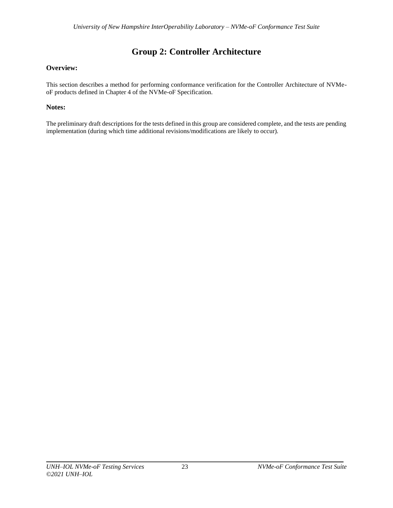# **Group 2: Controller Architecture**

# <span id="page-22-0"></span>**Overview:**

This section describes a method for performing conformance verification for the Controller Architecture of NVMeoF products defined in Chapter 4 of the NVMe-oF Specification.

# **Notes:**

The preliminary draft descriptions for the tests defined in this group are considered complete, and the tests are pending implementation (during which time additional revisions/modifications are likely to occur).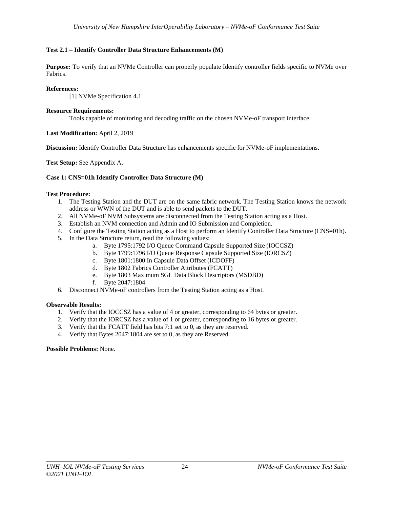# <span id="page-23-0"></span>**Test 2.1 – Identify Controller Data Structure Enhancements (M)**

**Purpose:** To verify that an NVMe Controller can properly populate Identify controller fields specific to NVMe over Fabrics.

## **References:**

[1] NVMe Specification 4.1

## **Resource Requirements:**

Tools capable of monitoring and decoding traffic on the chosen NVMe-oF transport interface.

**Last Modification:** April 2, 2019

**Discussion:** Identify Controller Data Structure has enhancements specific for NVMe-oF implementations.

**Test Setup:** See Appendix A.

## <span id="page-23-1"></span>**Case 1: CNS=01h Identify Controller Data Structure (M)**

## **Test Procedure:**

- 1. The Testing Station and the DUT are on the same fabric network. The Testing Station knows the network address or WWN of the DUT and is able to send packets to the DUT.
- 2. All NVMe-oF NVM Subsystems are disconnected from the Testing Station acting as a Host.
- 3. Establish an NVM connection and Admin and IO Submission and Completion.
- 4. Configure the Testing Station acting as a Host to perform an Identify Controller Data Structure (CNS=01h).
- 5. In the Data Structure return, read the following values:
	- a. Byte 1795:1792 I/O Queue Command Capsule Supported Size (IOCCSZ)
	- b. Byte 1799:1796 I/O Queue Response Capsule Supported Size (IORCSZ)
	- c. Byte 1801:1800 In Capsule Data Offset (ICDOFF)
	- d. Byte 1802 Fabrics Controller Attributes (FCATT)
	- e. Byte 1803 Maximum SGL Data Block Descriptors (MSDBD)
	- f. Byte 2047:1804
- 6. Disconnect NVMe-oF controllers from the Testing Station acting as a Host.

# **Observable Results:**

- 1. Verify that the IOCCSZ has a value of 4 or greater, corresponding to 64 bytes or greater.
- 2. Verify that the IORCSZ has a value of 1 or greater, corresponding to 16 bytes or greater.
- 3. Verify that the FCATT field has bits 7:1 set to 0, as they are reserved.
- 4. Verify that Bytes 2047:1804 are set to 0, as they are Reserved.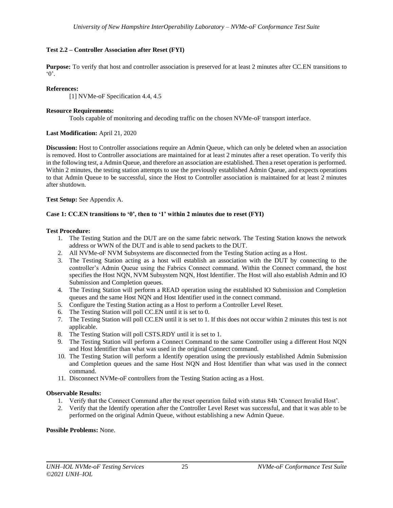## <span id="page-24-0"></span>**Test 2.2 – Controller Association after Reset (FYI)**

**Purpose:** To verify that host and controller association is preserved for at least 2 minutes after CC.EN transitions to  $\cdot$  0'.

#### **References:**

[1] NVMe-oF Specification 4.4, 4.5

#### **Resource Requirements:**

Tools capable of monitoring and decoding traffic on the chosen NVMe-oF transport interface.

#### **Last Modification:** April 21, 2020

**Discussion:** Host to Controller associations require an Admin Queue, which can only be deleted when an association is removed. Host to Controller associations are maintained for at least 2 minutes after a reset operation. To verify this in the following test, a Admin Queue, and therefore an association are established. Then a reset operation is performed. Within 2 minutes, the testing station attempts to use the previously established Admin Queue, and expects operations to that Admin Queue to be successful, since the Host to Controller association is maintained for at least 2 minutes after shutdown.

**Test Setup:** See Appendix A.

#### <span id="page-24-1"></span>**Case 1: CC.EN transitions to '0', then to '1' within 2 minutes due to reset (FYI)**

#### **Test Procedure:**

- 1. The Testing Station and the DUT are on the same fabric network. The Testing Station knows the network address or WWN of the DUT and is able to send packets to the DUT.
- 2. All NVMe-oF NVM Subsystems are disconnected from the Testing Station acting as a Host.
- 3. The Testing Station acting as a host will establish an association with the DUT by connecting to the controller's Admin Queue using the Fabrics Connect command. Within the Connect command, the host specifies the Host NQN, NVM Subsystem NQN, Host Identifier. The Host will also establish Admin and IO Submission and Completion queues.
- 4. The Testing Station will perform a READ operation using the established IO Submission and Completion queues and the same Host NQN and Host Identifier used in the connect command.
- 5. Configure the Testing Station acting as a Host to perform a Controller Level Reset.
- 6. The Testing Station will poll CC.EN until it is set to 0.
- 7. The Testing Station will poll CC.EN until it is set to 1. If this does not occur within 2 minutes this test is not applicable.
- 8. The Testing Station will poll CSTS.RDY until it is set to 1.
- 9. The Testing Station will perform a Connect Command to the same Controller using a different Host NQN and Host Identifier than what was used in the original Connect command.
- 10. The Testing Station will perform a Identify operation using the previously established Admin Submission and Completion queues and the same Host NQN and Host Identifier than what was used in the connect command.
- 11. Disconnect NVMe-oF controllers from the Testing Station acting as a Host.

#### **Observable Results:**

- 1. Verify that the Connect Command after the reset operation failed with status 84h 'Connect Invalid Host'.
- 2. Verify that the Identify operation after the Controller Level Reset was successful, and that it was able to be performed on the original Admin Queue, without establishing a new Admin Queue.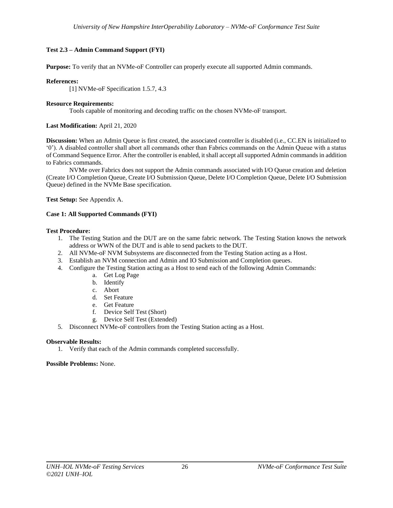# <span id="page-25-0"></span>**Test 2.3 – Admin Command Support (FYI)**

**Purpose:** To verify that an NVMe-oF Controller can properly execute all supported Admin commands.

#### **References:**

[1] NVMe-oF Specification 1.5.7, 4.3

#### **Resource Requirements:**

Tools capable of monitoring and decoding traffic on the chosen NVMe-oF transport.

#### **Last Modification:** April 21, 2020

**Discussion:** When an Admin Queue is first created, the associated controller is disabled (i.e., CC.EN is initialized to '0'). A disabled controller shall abort all commands other than Fabrics commands on the Admin Queue with a status of Command Sequence Error. After the controller is enabled, it shall accept all supported Admin commands in addition to Fabrics commands.

NVMe over Fabrics does not support the Admin commands associated with I/O Queue creation and deletion (Create I/O Completion Queue, Create I/O Submission Queue, Delete I/O Completion Queue, Delete I/O Submission Queue) defined in the NVMe Base specification.

**Test Setup:** See Appendix A.

#### <span id="page-25-1"></span>**Case 1: All Supported Commands (FYI)**

#### **Test Procedure:**

- 1. The Testing Station and the DUT are on the same fabric network. The Testing Station knows the network address or WWN of the DUT and is able to send packets to the DUT.
- 2. All NVMe-oF NVM Subsystems are disconnected from the Testing Station acting as a Host.
- 3. Establish an NVM connection and Admin and IO Submission and Completion queues.
- 4. Configure the Testing Station acting as a Host to send each of the following Admin Commands:
	- a. Get Log Page
	- b. Identify
	- c. Abort
	- d. Set Feature
	- e. Get Feature
	- f. Device Self Test (Short)
	- g. Device Self Test (Extended)
- 5. Disconnect NVMe-oF controllers from the Testing Station acting as a Host.

#### **Observable Results:**

1. Verify that each of the Admin commands completed successfully.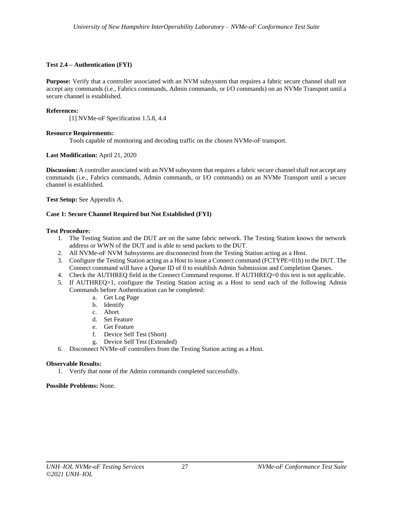## <span id="page-26-0"></span>**Test 2.4 – Authentication (FYI)**

**Purpose:** Verify that a controller associated with an NVM subsystem that requires a fabric secure channel shall not accept any commands (i.e., Fabrics commands, Admin commands, or I/O commands) on an NVMe Transport until a secure channel is established.

#### **References:**

[1] NVMe-oF Specification 1.5.8, 4.4

## **Resource Requirements:**

Tools capable of monitoring and decoding traffic on the chosen NVMe-oF transport.

## **Last Modification:** April 21, 2020

**Discussion:** A controller associated with an NVM subsystem that requires a fabric secure channel shall not accept any commands (i.e., Fabrics commands, Admin commands, or I/O commands) on an NVMe Transport until a secure channel is established.

**Test Setup:** See Appendix A.

## <span id="page-26-1"></span>**Case 1: Secure Channel Required but Not Established (FYI)**

## **Test Procedure:**

- 1. The Testing Station and the DUT are on the same fabric network. The Testing Station knows the network address or WWN of the DUT and is able to send packets to the DUT.
- 2. All NVMe-oF NVM Subsystems are disconnected from the Testing Station acting as a Host.
- 3. Configure the Testing Station acting as a Host to issue a Connect command (FCTYPE=01h) to the DUT. The Connect command will have a Queue ID of 0 to establish Admin Submission and Completion Queues.
- 4. Check the AUTHREQ field in the Connect Command response. If AUTHREQ=0 this test is not applicable.
- 5. If AUTHREQ=1, configure the Testing Station acting as a Host to send each of the following Admin Commands before Authentication can be completed:
	- a. Get Log Page
	- b. Identify
	- c. Abort
	- d. Set Feature
	- e. Get Feature
	- f. Device Self Test (Short)
	- g. Device Self Test (Extended)
- 6. Disconnect NVMe-oF controllers from the Testing Station acting as a Host.

#### **Observable Results:**

1. Verify that none of the Admin commands completed successfully.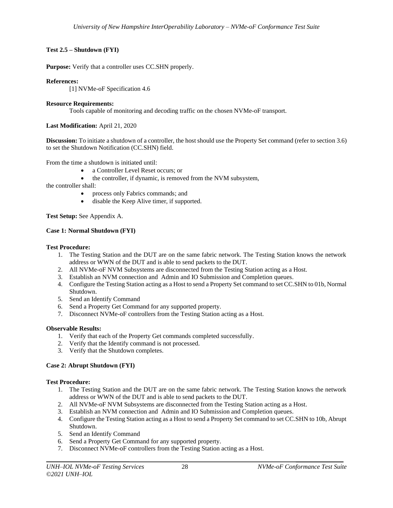# <span id="page-27-0"></span>**Test 2.5 – Shutdown (FYI)**

**Purpose:** Verify that a controller uses CC.SHN properly.

## **References:**

[1] NVMe-oF Specification 4.6

## **Resource Requirements:**

Tools capable of monitoring and decoding traffic on the chosen NVMe-oF transport.

## **Last Modification:** April 21, 2020

**Discussion:** To initiate a shutdown of a controller, the host should use the Property Set command (refer to section 3.6) to set the Shutdown Notification (CC.SHN) field.

From the time a shutdown is initiated until:

- a Controller Level Reset occurs; or
- the controller, if dynamic, is removed from the NVM subsystem,

the controller shall:

- process only Fabrics commands; and
- disable the Keep Alive timer, if supported.

**Test Setup:** See Appendix A.

## <span id="page-27-1"></span>**Case 1: Normal Shutdown (FYI)**

## **Test Procedure:**

- 1. The Testing Station and the DUT are on the same fabric network. The Testing Station knows the network address or WWN of the DUT and is able to send packets to the DUT.
- 2. All NVMe-oF NVM Subsystems are disconnected from the Testing Station acting as a Host.
- 3. Establish an NVM connection and Admin and IO Submission and Completion queues.
- 4. Configure the Testing Station acting as a Host to send a Property Set command to set CC.SHN to 01b, Normal Shutdown.
- 5. Send an Identify Command
- 6. Send a Property Get Command for any supported property.
- 7. Disconnect NVMe-oF controllers from the Testing Station acting as a Host.

#### **Observable Results:**

- 1. Verify that each of the Property Get commands completed successfully.
- 2. Verify that the Identify command is not processed.
- 3. Verify that the Shutdown completes.

# <span id="page-27-2"></span>**Case 2: Abrupt Shutdown (FYI)**

# **Test Procedure:**

- 1. The Testing Station and the DUT are on the same fabric network. The Testing Station knows the network address or WWN of the DUT and is able to send packets to the DUT.
- 2. All NVMe-oF NVM Subsystems are disconnected from the Testing Station acting as a Host.
- 3. Establish an NVM connection and Admin and IO Submission and Completion queues.
- 4. Configure the Testing Station acting as a Host to send a Property Set command to set CC.SHN to 10b, Abrupt Shutdown.
- 5. Send an Identify Command
- 6. Send a Property Get Command for any supported property.
- 7. Disconnect NVMe-oF controllers from the Testing Station acting as a Host.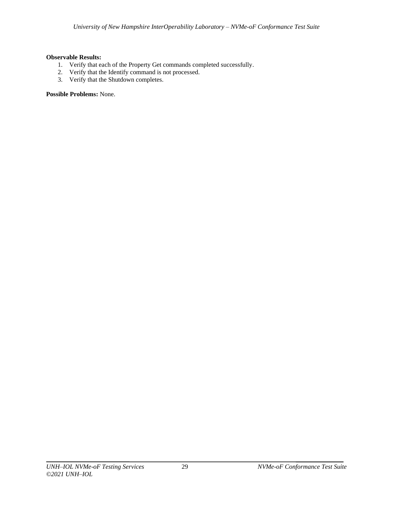# **Observable Results:**

- 1. Verify that each of the Property Get commands completed successfully.
- 2. Verify that the Identify command is not processed.
- 3. Verify that the Shutdown completes.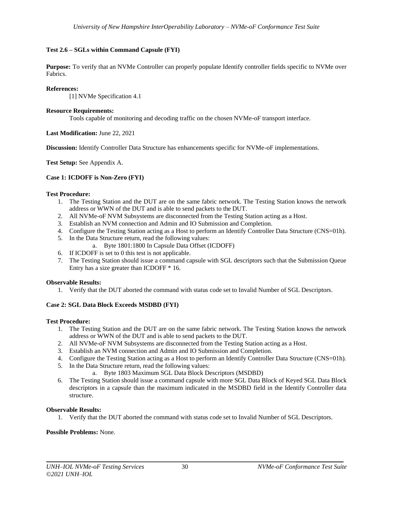# <span id="page-29-0"></span>**Test 2.6 – SGLs within Command Capsule (FYI)**

**Purpose:** To verify that an NVMe Controller can properly populate Identify controller fields specific to NVMe over Fabrics.

## **References:**

[1] NVMe Specification 4.1

## **Resource Requirements:**

Tools capable of monitoring and decoding traffic on the chosen NVMe-oF transport interface.

## **Last Modification:** June 22, 2021

**Discussion:** Identify Controller Data Structure has enhancements specific for NVMe-oF implementations.

**Test Setup:** See Appendix A.

## <span id="page-29-1"></span>**Case 1: ICDOFF is Non-Zero (FYI)**

## **Test Procedure:**

- 1. The Testing Station and the DUT are on the same fabric network. The Testing Station knows the network address or WWN of the DUT and is able to send packets to the DUT.
- 2. All NVMe-oF NVM Subsystems are disconnected from the Testing Station acting as a Host.
- 3. Establish an NVM connection and Admin and IO Submission and Completion.
- 4. Configure the Testing Station acting as a Host to perform an Identify Controller Data Structure (CNS=01h).
- 5. In the Data Structure return, read the following values:
	- a. Byte 1801:1800 In Capsule Data Offset (ICDOFF)
- 6. If ICDOFF is set to 0 this test is not applicable.
- 7. The Testing Station should issue a command capsule with SGL descriptors such that the Submission Queue Entry has a size greater than ICDOFF \* 16.

#### **Observable Results:**

1. Verify that the DUT aborted the command with status code set to Invalid Number of SGL Descriptors.

# <span id="page-29-2"></span>**Case 2: SGL Data Block Exceeds MSDBD (FYI)**

#### **Test Procedure:**

- 1. The Testing Station and the DUT are on the same fabric network. The Testing Station knows the network address or WWN of the DUT and is able to send packets to the DUT.
- 2. All NVMe-oF NVM Subsystems are disconnected from the Testing Station acting as a Host.
- 3. Establish an NVM connection and Admin and IO Submission and Completion.
- 4. Configure the Testing Station acting as a Host to perform an Identify Controller Data Structure (CNS=01h).
- 5. In the Data Structure return, read the following values:
	- a. Byte 1803 Maximum SGL Data Block Descriptors (MSDBD)
- 6. The Testing Station should issue a command capsule with more SGL Data Block of Keyed SGL Data Block descriptors in a capsule than the maximum indicated in the MSDBD field in the Identify Controller data structure.

# **Observable Results:**

1. Verify that the DUT aborted the command with status code set to Invalid Number of SGL Descriptors.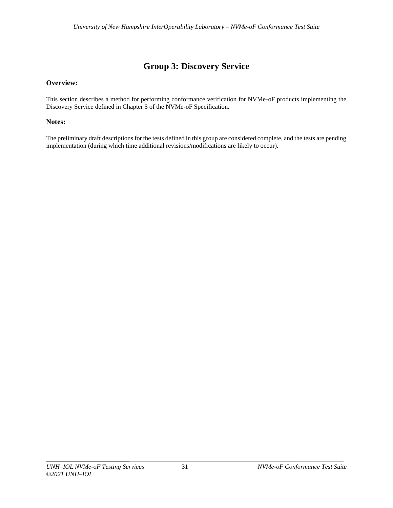# **Group 3: Discovery Service**

# <span id="page-30-0"></span>**Overview:**

This section describes a method for performing conformance verification for NVMe-oF products implementing the Discovery Service defined in Chapter 5 of the NVMe-oF Specification.

# **Notes:**

The preliminary draft descriptions for the tests defined in this group are considered complete, and the tests are pending implementation (during which time additional revisions/modifications are likely to occur).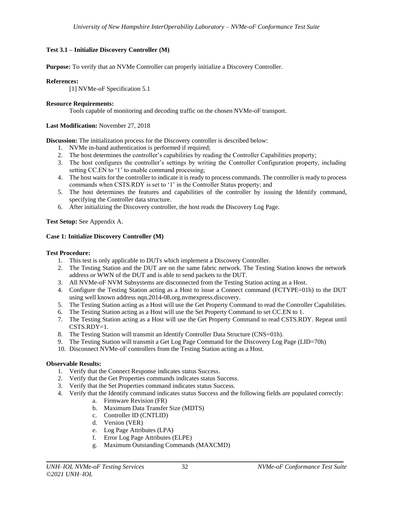# <span id="page-31-0"></span>**Test 3.1 – Initialize Discovery Controller (M)**

**Purpose:** To verify that an NVMe Controller can properly initialize a Discovery Controller.

## **References:**

[1] NVMe-oF Specification 5.1

## **Resource Requirements:**

Tools capable of monitoring and decoding traffic on the chosen NVMe-oF transport.

## **Last Modification:** November 27, 2018

**Discussion:** The initialization process for the Discovery controller is described below:

- 1. NVMe in-band authentication is performed if required;
- 2. The host determines the controller's capabilities by reading the Controller Capabilities property;
- 3. The host configures the controller's settings by writing the Controller Configuration property, including setting CC.EN to '1' to enable command processing;
- 4. The host waits for the controller to indicate it is ready to process commands. The controller is ready to process commands when CSTS.RDY is set to '1' in the Controller Status property; and
- 5. The host determines the features and capabilities of the controller by issuing the Identify command, specifying the Controller data structure.
- 6. After initializing the Discovery controller, the host reads the Discovery Log Page.

# **Test Setup:** See Appendix A.

# <span id="page-31-1"></span>**Case 1: Initialize Discovery Controller (M)**

## **Test Procedure:**

- 1. This test is only applicable to DUTs which implement a Discovery Controller.
- 2. The Testing Station and the DUT are on the same fabric network. The Testing Station knows the network address or WWN of the DUT and is able to send packets to the DUT.
- 3. All NVMe-oF NVM Subsystems are disconnected from the Testing Station acting as a Host.
- 4. Configure the Testing Station acting as a Host to issue a Connect command (FCTYPE=01h) to the DUT using well known address nqn.2014-08.org.nvmexpress.discovery.
- 5. The Testing Station acting as a Host will use the Get Property Command to read the Controller Capabilities.
- 6. The Testing Station acting as a Host will use the Set Property Command to set CC.EN to 1.
- 7. The Testing Station acting as a Host will use the Get Property Command to read CSTS.RDY. Repeat until  $CSTS.RDY=1.$
- 8. The Testing Station will transmit an Identify Controller Data Structure (CNS=01h).
- 9. The Testing Station will transmit a Get Log Page Command for the Discovery Log Page (LID=70h)
- 10. Disconnect NVMe-oF controllers from the Testing Station acting as a Host.

# **Observable Results:**

- 1. Verify that the Connect Response indicates status Success.
- 2. Verify that the Get Properties commands indicates status Success.
- 3. Verify that the Set Properties command indicates status Success.
- 4. Verify that the Identify command indicates status Success and the following fields are populated correctly:
	- a. Firmware Revision (FR)
	- b. Maximum Data Transfer Size (MDTS)
	- c. Controller ID (CNTLID)
	- d. Version (VER)
	- e. Log Page Attributes (LPA)
	- f. Error Log Page Attributes (ELPE)
	- g. Maximum Outstanding Commands (MAXCMD)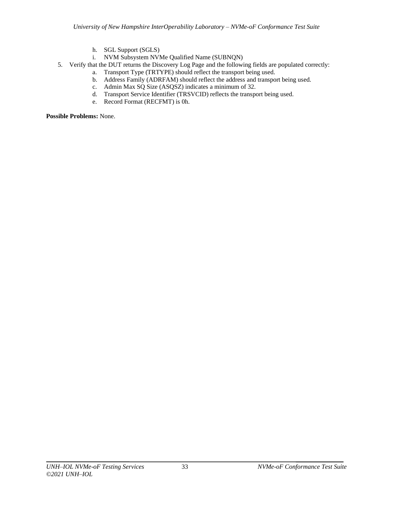- h. SGL Support (SGLS)
- i. NVM Subsystem NVMe Qualified Name (SUBNQN)
- 5. Verify that the DUT returns the Discovery Log Page and the following fields are populated correctly:
	- a. Transport Type (TRTYPE) should reflect the transport being used.
	- b. Address Family (ADRFAM) should reflect the address and transport being used.
	- c. Admin Max SQ Size (ASQSZ) indicates a minimum of 32.
	- d. Transport Service Identifier (TRSVCID) reflects the transport being used.
	- e. Record Format (RECFMT) is 0h.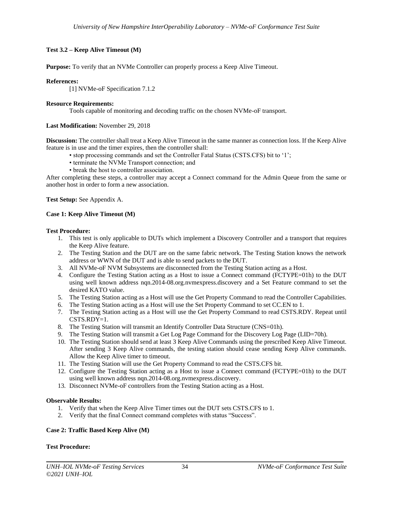# <span id="page-33-0"></span>**Test 3.2 – Keep Alive Timeout (M)**

**Purpose:** To verify that an NVMe Controller can properly process a Keep Alive Timeout.

## **References:**

[1] NVMe-oF Specification 7.1.2

## **Resource Requirements:**

Tools capable of monitoring and decoding traffic on the chosen NVMe-oF transport.

## **Last Modification:** November 29, 2018

**Discussion:** The controller shall treat a Keep Alive Timeout in the same manner as connection loss. If the Keep Alive feature is in use and the timer expires, then the controller shall:

- stop processing commands and set the Controller Fatal Status (CSTS.CFS) bit to '1';
- terminate the NVMe Transport connection; and
- break the host to controller association.

After completing these steps, a controller may accept a Connect command for the Admin Queue from the same or another host in order to form a new association.

**Test Setup:** See Appendix A.

## <span id="page-33-1"></span>**Case 1: Keep Alive Timeout (M)**

## **Test Procedure:**

- 1. This test is only applicable to DUTs which implement a Discovery Controller and a transport that requires the Keep Alive feature.
- 2. The Testing Station and the DUT are on the same fabric network. The Testing Station knows the network address or WWN of the DUT and is able to send packets to the DUT.
- 3. All NVMe-oF NVM Subsystems are disconnected from the Testing Station acting as a Host.
- 4. Configure the Testing Station acting as a Host to issue a Connect command (FCTYPE=01h) to the DUT using well known address nqn.2014-08.org.nvmexpress.discovery and a Set Feature command to set the desired KATO value.
- 5. The Testing Station acting as a Host will use the Get Property Command to read the Controller Capabilities.
- 6. The Testing Station acting as a Host will use the Set Property Command to set CC.EN to 1.
- 7. The Testing Station acting as a Host will use the Get Property Command to read CSTS.RDY. Repeat until CSTS.RDY=1.
- 8. The Testing Station will transmit an Identify Controller Data Structure (CNS=01h).
- 9. The Testing Station will transmit a Get Log Page Command for the Discovery Log Page (LID=70h).
- 10. The Testing Station should send at least 3 Keep Alive Commands using the prescribed Keep Alive Timeout. After sending 3 Keep Alive commands, the testing station should cease sending Keep Alive commands. Allow the Keep Alive timer to timeout.
- 11. The Testing Station will use the Get Property Command to read the CSTS.CFS bit.
- 12. Configure the Testing Station acting as a Host to issue a Connect command (FCTYPE=01h) to the DUT using well known address nqn.2014-08.org.nvmexpress.discovery.
- 13. Disconnect NVMe-oF controllers from the Testing Station acting as a Host.

#### **Observable Results:**

- 1. Verify that when the Keep Alive Timer times out the DUT sets CSTS.CFS to 1.
- 2. Verify that the final Connect command completes with status "Success".

# <span id="page-33-2"></span>**Case 2: Traffic Based Keep Alive (M)**

# **Test Procedure:**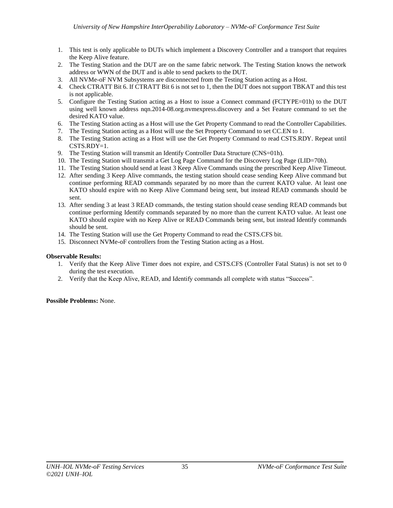- 1. This test is only applicable to DUTs which implement a Discovery Controller and a transport that requires the Keep Alive feature.
- 2. The Testing Station and the DUT are on the same fabric network. The Testing Station knows the network address or WWN of the DUT and is able to send packets to the DUT.
- 3. All NVMe-oF NVM Subsystems are disconnected from the Testing Station acting as a Host.
- 4. Check CTRATT Bit 6. If CTRATT Bit 6 is not set to 1, then the DUT does not support TBKAT and this test is not applicable.
- 5. Configure the Testing Station acting as a Host to issue a Connect command (FCTYPE=01h) to the DUT using well known address nqn.2014-08.org.nvmexpress.discovery and a Set Feature command to set the desired KATO value.
- 6. The Testing Station acting as a Host will use the Get Property Command to read the Controller Capabilities.
- 7. The Testing Station acting as a Host will use the Set Property Command to set CC.EN to 1.
- 8. The Testing Station acting as a Host will use the Get Property Command to read CSTS.RDY. Repeat until  $CSTS.RDY=1.$
- 9. The Testing Station will transmit an Identify Controller Data Structure (CNS=01h).
- 10. The Testing Station will transmit a Get Log Page Command for the Discovery Log Page (LID=70h).
- 11. The Testing Station should send at least 3 Keep Alive Commands using the prescribed Keep Alive Timeout.
- 12. After sending 3 Keep Alive commands, the testing station should cease sending Keep Alive command but continue performing READ commands separated by no more than the current KATO value. At least one KATO should expire with no Keep Alive Command being sent, but instead READ commands should be sent.
- 13. After sending 3 at least 3 READ commands, the testing station should cease sending READ commands but continue performing Identify commands separated by no more than the current KATO value. At least one KATO should expire with no Keep Alive or READ Commands being sent, but instead Identify commands should be sent.
- 14. The Testing Station will use the Get Property Command to read the CSTS.CFS bit.
- 15. Disconnect NVMe-oF controllers from the Testing Station acting as a Host.

# **Observable Results:**

- 1. Verify that the Keep Alive Timer does not expire, and CSTS.CFS (Controller Fatal Status) is not set to 0 during the test execution.
- 2. Verify that the Keep Alive, READ, and Identify commands all complete with status "Success".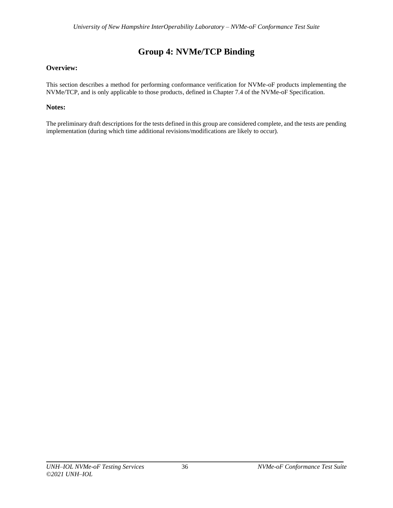# **Group 4: NVMe/TCP Binding**

# <span id="page-35-0"></span>**Overview:**

This section describes a method for performing conformance verification for NVMe-oF products implementing the NVMe/TCP, and is only applicable to those products, defined in Chapter 7.4 of the NVMe-oF Specification.

# **Notes:**

The preliminary draft descriptions for the tests defined in this group are considered complete, and the tests are pending implementation (during which time additional revisions/modifications are likely to occur).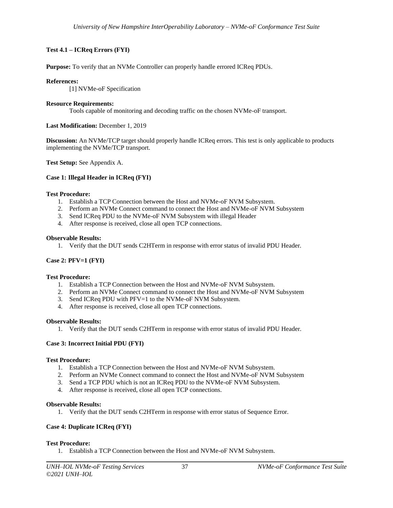# <span id="page-36-0"></span>**Test 4.1 – ICReq Errors (FYI)**

**Purpose:** To verify that an NVMe Controller can properly handle errored ICReq PDUs.

# **References:**

[1] NVMe-oF Specification

# **Resource Requirements:**

Tools capable of monitoring and decoding traffic on the chosen NVMe-oF transport.

# **Last Modification:** December 1, 2019

**Discussion:** An NVMe/TCP target should properly handle ICReq errors. This test is only applicable to products implementing the NVMe/TCP transport.

**Test Setup:** See Appendix A.

# <span id="page-36-1"></span>**Case 1: Illegal Header in ICReq (FYI)**

# **Test Procedure:**

- 1. Establish a TCP Connection between the Host and NVMe-oF NVM Subsystem.
- 2. Perform an NVMe Connect command to connect the Host and NVMe-oF NVM Subsystem
- 3. Send ICReq PDU to the NVMe-oF NVM Subsystem with illegal Header
- 4. After response is received, close all open TCP connections.

# **Observable Results:**

1. Verify that the DUT sends C2HTerm in response with error status of invalid PDU Header.

# <span id="page-36-2"></span>**Case 2: PFV=1 (FYI)**

# **Test Procedure:**

- 1. Establish a TCP Connection between the Host and NVMe-oF NVM Subsystem.
- 2. Perform an NVMe Connect command to connect the Host and NVMe-oF NVM Subsystem
- 3. Send ICReq PDU with PFV=1 to the NVMe-oF NVM Subsystem.
- 4. After response is received, close all open TCP connections.

# **Observable Results:**

1. Verify that the DUT sends C2HTerm in response with error status of invalid PDU Header.

# <span id="page-36-3"></span>**Case 3: Incorrect Initial PDU (FYI)**

# **Test Procedure:**

- 1. Establish a TCP Connection between the Host and NVMe-oF NVM Subsystem.
- 2. Perform an NVMe Connect command to connect the Host and NVMe-oF NVM Subsystem
- 3. Send a TCP PDU which is not an ICReq PDU to the NVMe-oF NVM Subsystem.
- 4. After response is received, close all open TCP connections.

# **Observable Results:**

1. Verify that the DUT sends C2HTerm in response with error status of Sequence Error.

# <span id="page-36-4"></span>**Case 4: Duplicate ICReq (FYI)**

# **Test Procedure:**

1. Establish a TCP Connection between the Host and NVMe-oF NVM Subsystem.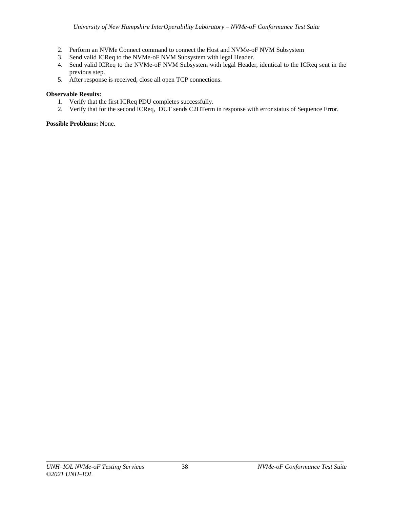- 2. Perform an NVMe Connect command to connect the Host and NVMe-oF NVM Subsystem
- 3. Send valid ICReq to the NVMe-oF NVM Subsystem with legal Header.
- 4. Send valid ICReq to the NVMe-oF NVM Subsystem with legal Header, identical to the ICReq sent in the previous step.
- 5. After response is received, close all open TCP connections.

#### **Observable Results:**

- 1. Verify that the first ICReq PDU completes successfully.
- 2. Verify that for the second ICReq, DUT sends C2HTerm in response with error status of Sequence Error.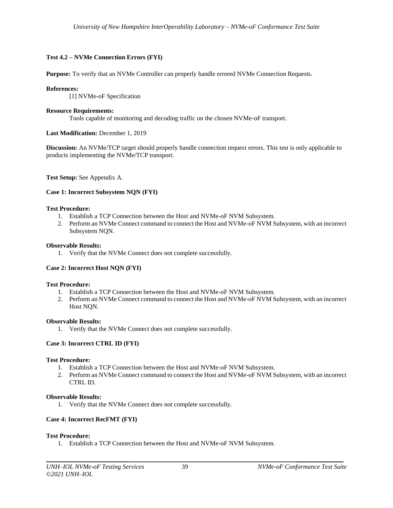## <span id="page-38-0"></span>**Test 4.2 – NVMe Connection Errors (FYI)**

**Purpose:** To verify that an NVMe Controller can properly handle errored NVMe Connection Requests.

#### **References:**

[1] NVMe-oF Specification

#### **Resource Requirements:**

Tools capable of monitoring and decoding traffic on the chosen NVMe-oF transport.

#### **Last Modification:** December 1, 2019

**Discussion:** An NVMe/TCP target should properly handle connection request errors. This test is only applicable to products implementing the NVMe/TCP transport.

**Test Setup:** See Appendix A.

#### <span id="page-38-1"></span>**Case 1: Incorrect Subsystem NQN (FYI)**

#### **Test Procedure:**

- 1. Establish a TCP Connection between the Host and NVMe-oF NVM Subsystem.
- 2. Perform an NVMe Connect command to connect the Host and NVMe-oF NVM Subsystem, with an incorrect Subsystem NQN.

#### **Observable Results:**

1. Verify that the NVMe Connect does not complete successfully.

#### <span id="page-38-2"></span>**Case 2: Incorrect Host NQN (FYI)**

#### **Test Procedure:**

- 1. Establish a TCP Connection between the Host and NVMe-oF NVM Subsystem.
- 2. Perform an NVMe Connect command to connect the Host and NVMe-oF NVM Subsystem, with an incorrect Host NQN.

#### **Observable Results:**

1. Verify that the NVMe Connect does not complete successfully.

#### <span id="page-38-3"></span>**Case 3: Incorrect CTRL ID (FYI)**

## **Test Procedure:**

- 1. Establish a TCP Connection between the Host and NVMe-oF NVM Subsystem.
- 2. Perform an NVMe Connect command to connect the Host and NVMe-oF NVM Subsystem, with an incorrect CTRL ID.

#### **Observable Results:**

1. Verify that the NVMe Connect does not complete successfully.

#### <span id="page-38-4"></span>**Case 4: Incorrect RecFMT (FYI)**

#### **Test Procedure:**

1. Establish a TCP Connection between the Host and NVMe-oF NVM Subsystem.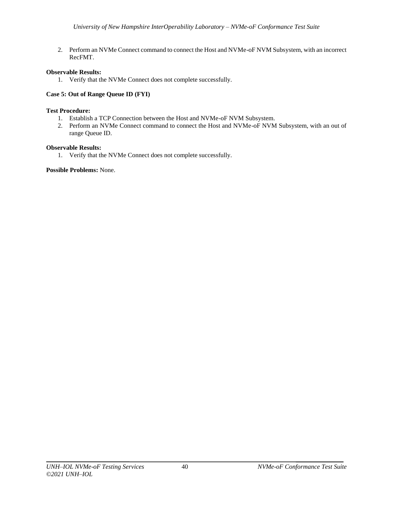2. Perform an NVMe Connect command to connect the Host and NVMe-oF NVM Subsystem, with an incorrect RecFMT.

# **Observable Results:**

1. Verify that the NVMe Connect does not complete successfully.

# <span id="page-39-0"></span>**Case 5: Out of Range Queue ID (FYI)**

# **Test Procedure:**

- 1. Establish a TCP Connection between the Host and NVMe-oF NVM Subsystem.
- 2. Perform an NVMe Connect command to connect the Host and NVMe-oF NVM Subsystem, with an out of range Queue ID.

# **Observable Results:**

1. Verify that the NVMe Connect does not complete successfully.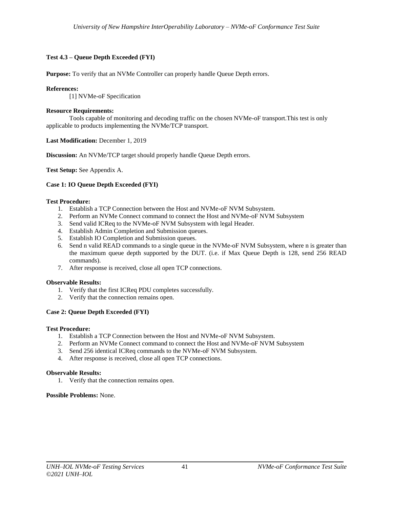# <span id="page-40-0"></span>**Test 4.3 – Queue Depth Exceeded (FYI)**

**Purpose:** To verify that an NVMe Controller can properly handle Queue Depth errors.

## **References:**

[1] NVMe-oF Specification

## **Resource Requirements:**

Tools capable of monitoring and decoding traffic on the chosen NVMe-oF transport.This test is only applicable to products implementing the NVMe/TCP transport.

**Last Modification:** December 1, 2019

**Discussion:** An NVMe/TCP target should properly handle Queue Depth errors.

**Test Setup:** See Appendix A.

# <span id="page-40-1"></span>**Case 1: IO Queue Depth Exceeded (FYI)**

## **Test Procedure:**

- 1. Establish a TCP Connection between the Host and NVMe-oF NVM Subsystem.
- 2. Perform an NVMe Connect command to connect the Host and NVMe-oF NVM Subsystem
- 3. Send valid ICReq to the NVMe-oF NVM Subsystem with legal Header.
- 4. Establish Admin Completion and Submission queues.
- 5. Establish IO Completion and Submission queues.
- 6. Send n valid READ commands to a single queue in the NVMe-oF NVM Subsystem, where n is greater than the maximum queue depth supported by the DUT. (i.e. if Max Queue Depth is 128, send 256 READ commands).
- 7. After response is received, close all open TCP connections.

#### **Observable Results:**

- 1. Verify that the first ICReq PDU completes successfully.
- 2. Verify that the connection remains open.

# <span id="page-40-2"></span>**Case 2: Queue Depth Exceeded (FYI)**

#### **Test Procedure:**

- 1. Establish a TCP Connection between the Host and NVMe-oF NVM Subsystem.
- 2. Perform an NVMe Connect command to connect the Host and NVMe-oF NVM Subsystem
- 3. Send 256 identical ICReq commands to the NVMe-oF NVM Subsystem.
- 4. After response is received, close all open TCP connections.

#### **Observable Results:**

1. Verify that the connection remains open.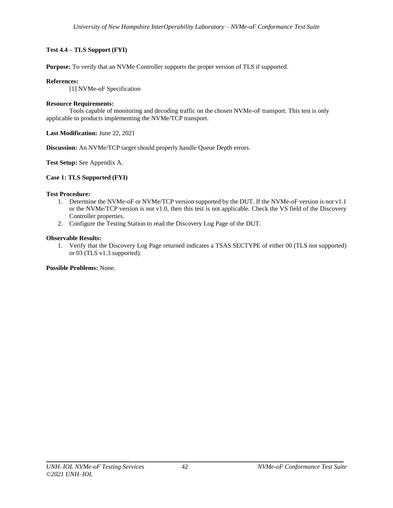# <span id="page-41-0"></span>**Test 4.4 – TLS Support (FYI)**

**Purpose:** To verify that an NVMe Controller supports the proper version of TLS if supported.

## **References:**

[1] NVMe-oF Specification

#### **Resource Requirements:**

Tools capable of monitoring and decoding traffic on the chosen NVMe-oF transport. This test is only applicable to products implementing the NVMe/TCP transport.

**Last Modification:** June 22, 2021

**Discussion:** An NVMe/TCP target should properly handle Queue Depth errors.

**Test Setup:** See Appendix A.

## <span id="page-41-1"></span>**Case 1: TLS Supported (FYI)**

# **Test Procedure:**

- 1. Determine the NVMe-oF or NVMe/TCP version supported by the DUT. If the NVMe-oF version is not v1.1 or the NVMe/TCP version is not v1.0, then this test is not applicable. Check the VS field of the Discovery Controller properties.
- 2. Configure the Testing Station to read the Discovery Log Page of the DUT.

## **Observable Results:**

1. Verify that the Discovery Log Page returned indicates a TSAS SECTYPE of either 00 (TLS not supported) or 03 (TLS v1.3 supported).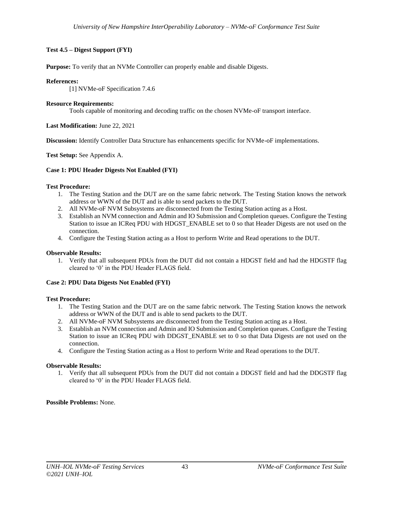# <span id="page-42-0"></span>**Test 4.5 – Digest Support (FYI)**

**Purpose:** To verify that an NVMe Controller can properly enable and disable Digests.

## **References:**

[1] NVMe-oF Specification 7.4.6

## **Resource Requirements:**

Tools capable of monitoring and decoding traffic on the chosen NVMe-oF transport interface.

**Last Modification:** June 22, 2021

**Discussion:** Identify Controller Data Structure has enhancements specific for NVMe-oF implementations.

**Test Setup:** See Appendix A.

## <span id="page-42-1"></span>**Case 1: PDU Header Digests Not Enabled (FYI)**

## **Test Procedure:**

- 1. The Testing Station and the DUT are on the same fabric network. The Testing Station knows the network address or WWN of the DUT and is able to send packets to the DUT.
- 2. All NVMe-oF NVM Subsystems are disconnected from the Testing Station acting as a Host.
- 3. Establish an NVM connection and Admin and IO Submission and Completion queues. Configure the Testing Station to issue an ICReq PDU with HDGST\_ENABLE set to 0 so that Header Digests are not used on the connection.
- 4. Configure the Testing Station acting as a Host to perform Write and Read operations to the DUT.

## **Observable Results:**

1. Verify that all subsequent PDUs from the DUT did not contain a HDGST field and had the HDGSTF flag cleared to '0' in the PDU Header FLAGS field.

#### <span id="page-42-2"></span>**Case 2: PDU Data Digests Not Enabled (FYI)**

#### **Test Procedure:**

- 1. The Testing Station and the DUT are on the same fabric network. The Testing Station knows the network address or WWN of the DUT and is able to send packets to the DUT.
- 2. All NVMe-oF NVM Subsystems are disconnected from the Testing Station acting as a Host.
- 3. Establish an NVM connection and Admin and IO Submission and Completion queues. Configure the Testing Station to issue an ICReq PDU with DDGST\_ENABLE set to 0 so that Data Digests are not used on the connection.
- 4. Configure the Testing Station acting as a Host to perform Write and Read operations to the DUT.

#### **Observable Results:**

1. Verify that all subsequent PDUs from the DUT did not contain a DDGST field and had the DDGSTF flag cleared to '0' in the PDU Header FLAGS field.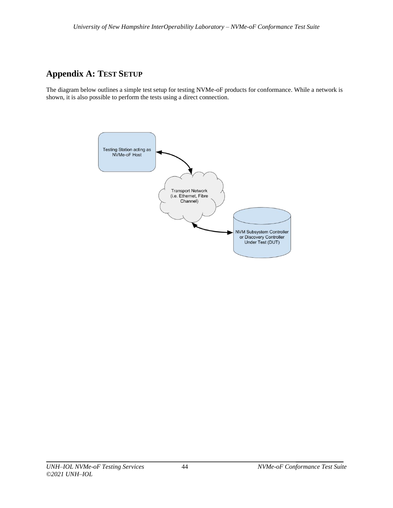# <span id="page-43-0"></span>**Appendix A: TEST SETUP**

The diagram below outlines a simple test setup for testing NVMe-oF products for conformance. While a network is shown, it is also possible to perform the tests using a direct connection.

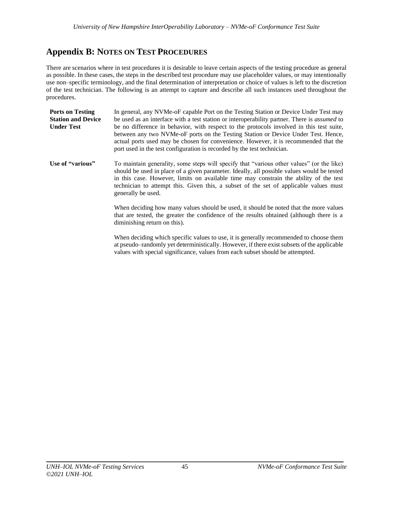# <span id="page-44-0"></span>**Appendix B: NOTES ON TEST PROCEDURES**

There are scenarios where in test procedures it is desirable to leave certain aspects of the testing procedure as general as possible. In these cases, the steps in the described test procedure may use placeholder values, or may intentionally use non–specific terminology, and the final determination of interpretation or choice of values is left to the discretion of the test technician. The following is an attempt to capture and describe all such instances used throughout the procedures.

| <b>Ports on Testing</b><br><b>Station and Device</b><br><b>Under Test</b> | In general, any NVMe-oF capable Port on the Testing Station or Device Under Test may<br>be used as an interface with a test station or interoperability partner. There is <i>assumed</i> to<br>be no difference in behavior, with respect to the protocols involved in this test suite,<br>between any two NVMe-oF ports on the Testing Station or Device Under Test. Hence,<br>actual ports used may be chosen for convenience. However, it is recommended that the<br>port used in the test configuration is recorded by the test technician.                                                                      |
|---------------------------------------------------------------------------|----------------------------------------------------------------------------------------------------------------------------------------------------------------------------------------------------------------------------------------------------------------------------------------------------------------------------------------------------------------------------------------------------------------------------------------------------------------------------------------------------------------------------------------------------------------------------------------------------------------------|
| Use of "various"                                                          | To maintain generality, some steps will specify that "various other values" (or the like)<br>should be used in place of a given parameter. Ideally, all possible values would be tested<br>in this case. However, limits on available time may constrain the ability of the test<br>technician to attempt this. Given this, a subset of the set of applicable values must<br>generally be used.<br>When deciding how many values should be used, it should be noted that the more values<br>that are tested, the greater the confidence of the results obtained (although there is a<br>diminishing return on this). |

When deciding which specific values to use, it is generally recommended to choose them at pseudo–randomly yet deterministically. However, if there exist subsets of the applicable values with special significance, values from each subset should be attempted.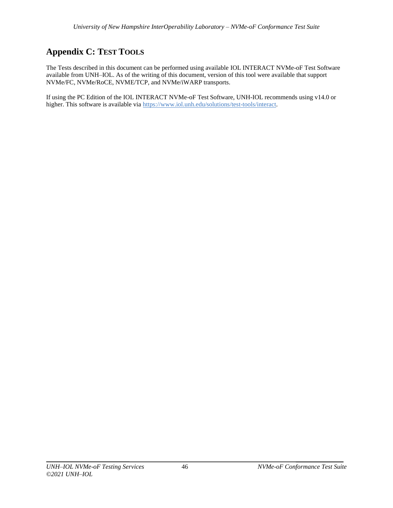# <span id="page-45-0"></span>**Appendix C: TEST TOOLS**

The Tests described in this document can be performed using available IOL INTERACT NVMe-oF Test Software available from UNH–IOL. As of the writing of this document, version of this tool were available that support NVMe/FC, NVMe/RoCE, NVME/TCP, and NVMe/iWARP transports.

If using the PC Edition of the IOL INTERACT NVMe-oF Test Software, UNH-IOL recommends using v14.0 or higher. This software is available via [https://www.iol.unh.edu/solutions/test-tools/interact.](https://www.iol.unh.edu/solutions/test-tools/interact)